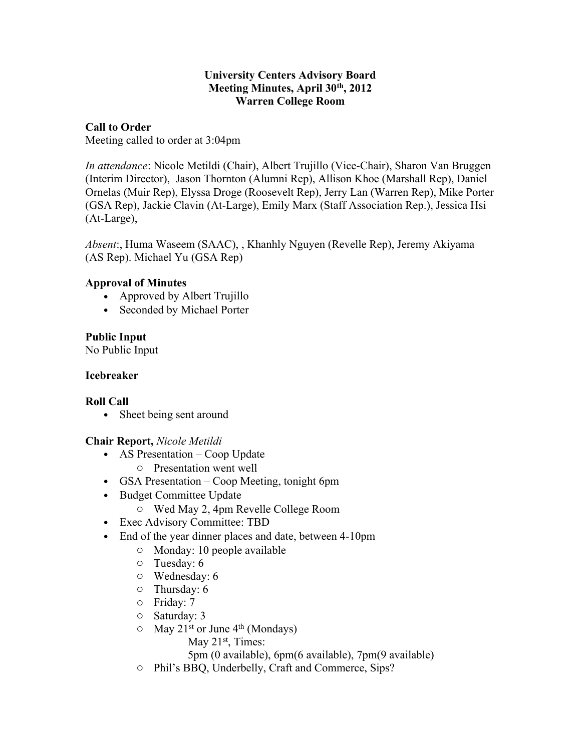#### **University Centers Advisory Board Meeting Minutes, April 30th, 2012 Warren College Room**

### **Call to Order**

Meeting called to order at 3:04pm

*In attendance*: Nicole Metildi (Chair), Albert Trujillo (Vice-Chair), Sharon Van Bruggen (Interim Director), Jason Thornton (Alumni Rep), Allison Khoe (Marshall Rep), Daniel Ornelas (Muir Rep), Elyssa Droge (Roosevelt Rep), Jerry Lan (Warren Rep), Mike Porter (GSA Rep), Jackie Clavin (At-Large), Emily Marx (Staff Association Rep.), Jessica Hsi (At-Large),

*Absent*:, Huma Waseem (SAAC), , Khanhly Nguyen (Revelle Rep), Jeremy Akiyama (AS Rep). Michael Yu (GSA Rep)

# **Approval of Minutes**

- Approved by Albert Trujillo
- Seconded by Michael Porter

# **Public Input**

No Public Input

### **Icebreaker**

# **Roll Call**

• Sheet being sent around

# **Chair Report,** *Nicole Metildi*

- AS Presentation Coop Update
	- o Presentation went well
- GSA Presentation Coop Meeting, tonight 6pm
- Budget Committee Update
	- o Wed May 2, 4pm Revelle College Room
- Exec Advisory Committee: TBD
- End of the year dinner places and date, between 4-10pm
	- o Monday: 10 people available
	- o Tuesday: 6
	- o Wednesday: 6
	- o Thursday: 6
	- o Friday: 7
	- o Saturday: 3
	- $\circ$  May 21<sup>st</sup> or June 4<sup>th</sup> (Mondays)
		- May 21<sup>st</sup>, Times:
		- 5pm (0 available), 6pm(6 available), 7pm(9 available)
	- o Phil's BBQ, Underbelly, Craft and Commerce, Sips?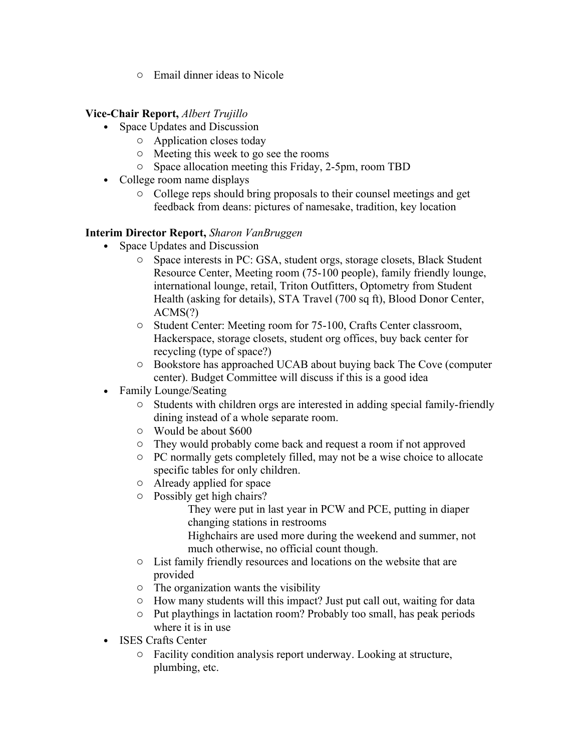o Email dinner ideas to Nicole

### **Vice-Chair Report,** *Albert Trujillo*

- Space Updates and Discussion
	- o Application closes today
	- o Meeting this week to go see the rooms
	- o Space allocation meeting this Friday, 2-5pm, room TBD
- College room name displays
	- o College reps should bring proposals to their counsel meetings and get feedback from deans: pictures of namesake, tradition, key location

# **Interim Director Report,** *Sharon VanBruggen*

- Space Updates and Discussion
	- o Space interests in PC: GSA, student orgs, storage closets, Black Student Resource Center, Meeting room (75-100 people), family friendly lounge, international lounge, retail, Triton Outfitters, Optometry from Student Health (asking for details), STA Travel (700 sq ft), Blood Donor Center, ACMS(?)
	- o Student Center: Meeting room for 75-100, Crafts Center classroom, Hackerspace, storage closets, student org offices, buy back center for recycling (type of space?)
	- o Bookstore has approached UCAB about buying back The Cove (computer center). Budget Committee will discuss if this is a good idea
- Family Lounge/Seating
	- o Students with children orgs are interested in adding special family-friendly dining instead of a whole separate room.
	- o Would be about \$600
	- o They would probably come back and request a room if not approved
	- o PC normally gets completely filled, may not be a wise choice to allocate specific tables for only children.
	- o Already applied for space
	- o Possibly get high chairs?

They were put in last year in PCW and PCE, putting in diaper changing stations in restrooms

Highchairs are used more during the weekend and summer, not much otherwise, no official count though.

- o List family friendly resources and locations on the website that are provided
- o The organization wants the visibility
- o How many students will this impact? Just put call out, waiting for data
- o Put playthings in lactation room? Probably too small, has peak periods where it is in use
- ISES Crafts Center
	- o Facility condition analysis report underway. Looking at structure, plumbing, etc.